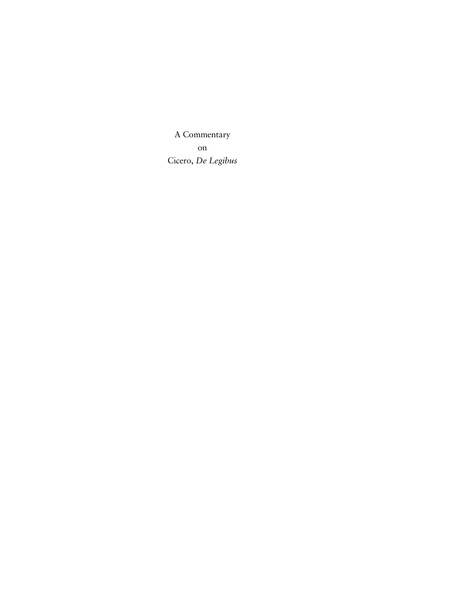A Commentary on Cicero, *De Legibus*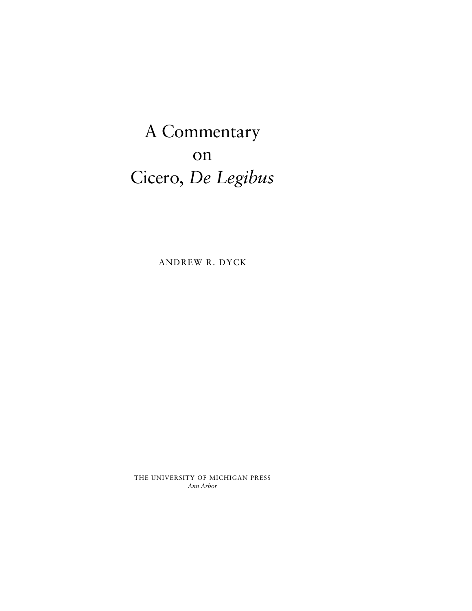A Commentary on Cicero, *De Legibus*

ANDREW R. DYCK

THE UNIVERSITY OF MICHIGAN PRESS *Ann Arbor*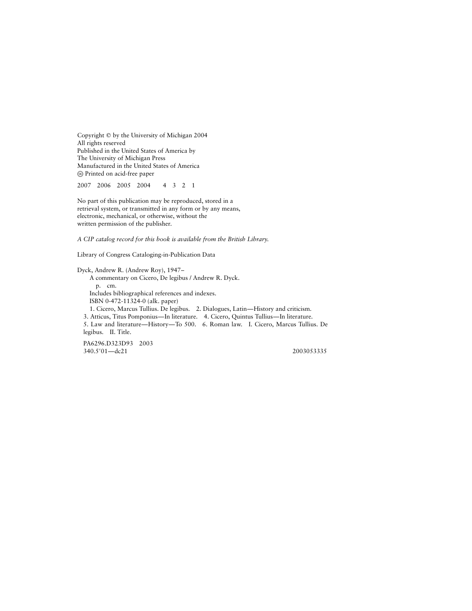Copyright  $\odot$  by the University of Michigan 2004 All rights reserved Published in the United States of America by The University of Michigan Press Manufactured in the United States of America - Printed on acid-free paper

2007 2006 2005 2004 4321

No part of this publication may be reproduced, stored in a retrieval system, or transmitted in any form or by any means, electronic, mechanical, or otherwise, without the written permission of the publisher.

*A CIP catalog record for this book is available from the British Library.*

Library of Congress Cataloging-in-Publication Data

Dyck, Andrew R. (Andrew Roy), 1947– A commentary on Cicero, De legibus / Andrew R. Dyck. p. cm. Includes bibliographical references and indexes. ISBN 0-472-11324-0 (alk. paper) 1. Cicero, Marcus Tullius. De legibus. 2. Dialogues, Latin—History and criticism. 3. Atticus, Titus Pomponius—In literature. 4. Cicero, Quintus Tullius—In literature. 5. Law and literature—History—To 500. 6. Roman law. I. Cicero, Marcus Tullius. De legibus. II. Title.

PA6296.D323D93 2003 340.5'01-dc21 2003053335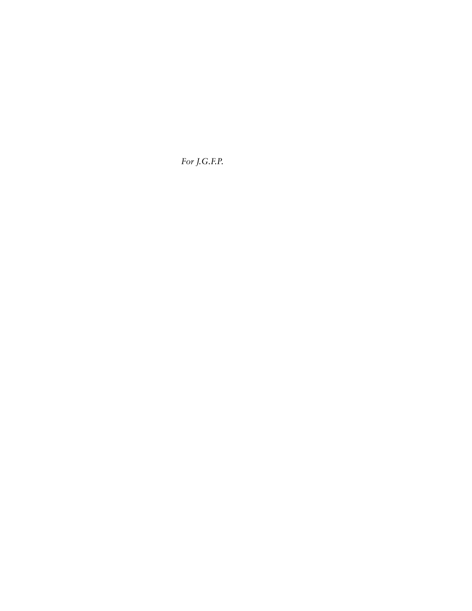*For J.G.F.P.*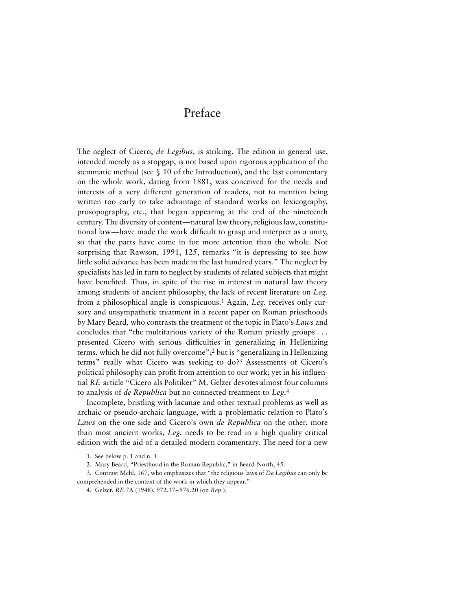## Preface

The neglect of Cicero, *de Legibus,* is striking. The edition in general use, intended merely as a stopgap, is not based upon rigorous application of the stemmatic method (see § 10 of the Introduction), and the last commentary on the whole work, dating from 1881, was conceived for the needs and interests of a very different generation of readers, not to mention being written too early to take advantage of standard works on lexicography, prosopography, etc., that began appearing at the end of the nineteenth century. The diversity of content—natural law theory, religious law, constitutional law—have made the work difficult to grasp and interpret as a unity, so that the parts have come in for more attention than the whole. Not surprising that Rawson, 1991, 125, remarks "it is depressing to see how little solid advance has been made in the last hundred years." The neglect by specialists has led in turn to neglect by students of related subjects that might have benefited. Thus, in spite of the rise in interest in natural law theory among students of ancient philosophy, the lack of recent literature on *Leg.* from a philosophical angle is conspicuous.1 Again, *Leg.* receives only cursory and unsympathetic treatment in a recent paper on Roman priesthoods by Mary Beard, who contrasts the treatment of the topic in Plato's *Laws* and concludes that "the multifarious variety of the Roman priestly groups . . . presented Cicero with serious difficulties in generalizing in Hellenizing terms, which he did not fully overcome";2 but is "generalizing in Hellenizing terms" really what Cicero was seeking to do?3 Assessments of Cicero's political philosophy can profit from attention to our work; yet in his influential *RE*-article "Cicero als Politiker" M. Gelzer devotes almost four columns to analysis of *de Republica* but no connected treatment to *Leg.*<sup>4</sup>

Incomplete, bristling with lacunae and other textual problems as well as archaic or pseudo-archaic language, with a problematic relation to Plato's *Laws* on the one side and Cicero's own *de Republica* on the other, more than most ancient works, *Leg.* needs to be read in a high quality critical edition with the aid of a detailed modern commentary. The need for a new

<sup>1.</sup> See below p. 1 and n. 1.

<sup>2.</sup> Mary Beard, "Priesthood in the Roman Republic," in Beard-North, 45.

<sup>3.</sup> Contrast Mehl, 167, who emphasizes that "the religious laws of *De Legibus* can only be comprehended in the context of the work in which they appear."

<sup>4.</sup> Gelzer, *RE* 7A (1948), 972.37–976.20 (on *Rep.*).